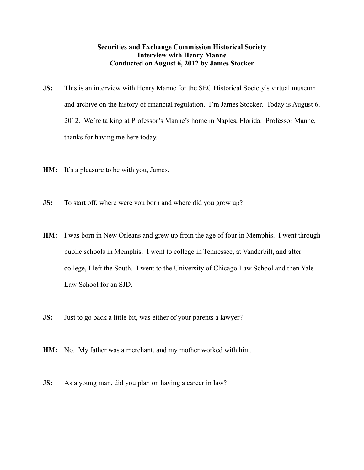## **Securities and Exchange Commission Historical Society Interview with Henry Manne Conducted on August 6, 2012 by James Stocker**

- **JS:** This is an interview with Henry Manne for the SEC Historical Society's virtual museum and archive on the history of financial regulation. I'm James Stocker. Today is August 6, 2012. We're talking at Professor's Manne's home in Naples, Florida. Professor Manne, thanks for having me here today.
- **HM:** It's a pleasure to be with you, James.
- **JS:** To start off, where were you born and where did you grow up?
- **HM:** I was born in New Orleans and grew up from the age of four in Memphis. I went through public schools in Memphis. I went to college in Tennessee, at Vanderbilt, and after college, I left the South. I went to the University of Chicago Law School and then Yale Law School for an SJD.
- **JS:** Just to go back a little bit, was either of your parents a lawyer?
- **HM:** No. My father was a merchant, and my mother worked with him.
- **JS:** As a young man, did you plan on having a career in law?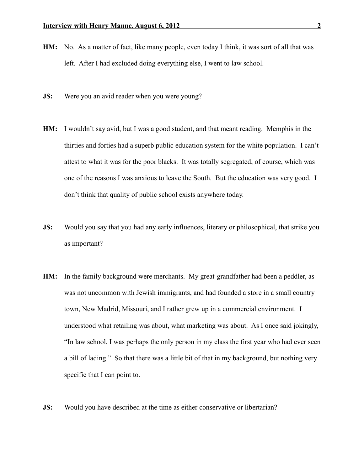- **HM:** No. As a matter of fact, like many people, even today I think, it was sort of all that was left. After I had excluded doing everything else, I went to law school.
- **JS:** Were you an avid reader when you were young?
- **HM:** I wouldn't say avid, but I was a good student, and that meant reading. Memphis in the thirties and forties had a superb public education system for the white population. I can't attest to what it was for the poor blacks. It was totally segregated, of course, which was one of the reasons I was anxious to leave the South. But the education was very good. I don't think that quality of public school exists anywhere today.
- **JS:** Would you say that you had any early influences, literary or philosophical, that strike you as important?
- **HM:** In the family background were merchants. My great-grandfather had been a peddler, as was not uncommon with Jewish immigrants, and had founded a store in a small country town, New Madrid, Missouri, and I rather grew up in a commercial environment. I understood what retailing was about, what marketing was about. As I once said jokingly, "In law school, I was perhaps the only person in my class the first year who had ever seen a bill of lading." So that there was a little bit of that in my background, but nothing very specific that I can point to.
- **JS:** Would you have described at the time as either conservative or libertarian?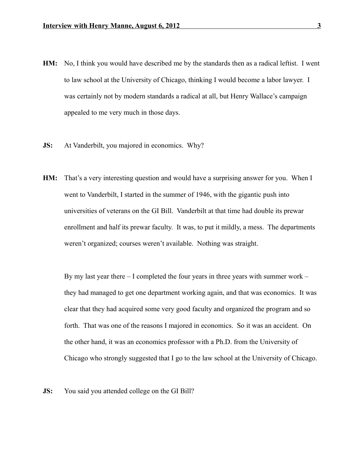- **HM:** No, I think you would have described me by the standards then as a radical leftist. I went to law school at the University of Chicago, thinking I would become a labor lawyer. I was certainly not by modern standards a radical at all, but Henry Wallace's campaign appealed to me very much in those days.
- **JS:** At Vanderbilt, you majored in economics. Why?
- **HM:** That's a very interesting question and would have a surprising answer for you. When I went to Vanderbilt, I started in the summer of 1946, with the gigantic push into universities of veterans on the GI Bill. Vanderbilt at that time had double its prewar enrollment and half its prewar faculty. It was, to put it mildly, a mess. The departments weren't organized; courses weren't available. Nothing was straight.

By my last year there – I completed the four years in three years with summer work – they had managed to get one department working again, and that was economics. It was clear that they had acquired some very good faculty and organized the program and so forth. That was one of the reasons I majored in economics. So it was an accident. On the other hand, it was an economics professor with a Ph.D. from the University of Chicago who strongly suggested that I go to the law school at the University of Chicago.

**JS:** You said you attended college on the GI Bill?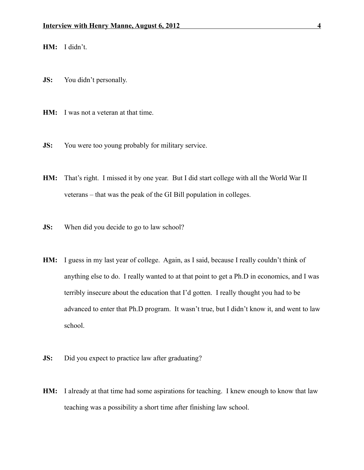**HM:** I didn't.

- **JS:** You didn't personally.
- **HM:** I was not a veteran at that time.
- **JS:** You were too young probably for military service.
- **HM:** That's right. I missed it by one year. But I did start college with all the World War II veterans – that was the peak of the GI Bill population in colleges.
- **JS:** When did you decide to go to law school?
- **HM:** I guess in my last year of college. Again, as I said, because I really couldn't think of anything else to do. I really wanted to at that point to get a Ph.D in economics, and I was terribly insecure about the education that I'd gotten. I really thought you had to be advanced to enter that Ph.D program. It wasn't true, but I didn't know it, and went to law school.
- **JS:** Did you expect to practice law after graduating?
- **HM:** I already at that time had some aspirations for teaching. I knew enough to know that law teaching was a possibility a short time after finishing law school.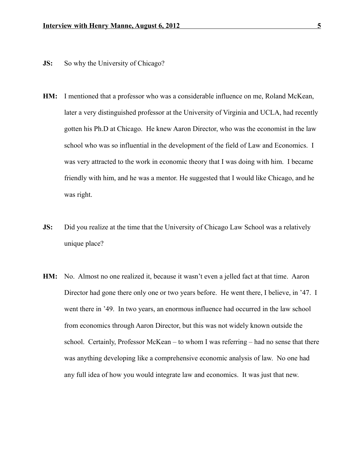- **JS:** So why the University of Chicago?
- **HM:** I mentioned that a professor who was a considerable influence on me, Roland McKean, later a very distinguished professor at the University of Virginia and UCLA, had recently gotten his Ph.D at Chicago. He knew Aaron Director, who was the economist in the law school who was so influential in the development of the field of Law and Economics. I was very attracted to the work in economic theory that I was doing with him. I became friendly with him, and he was a mentor. He suggested that I would like Chicago, and he was right.
- **JS:** Did you realize at the time that the University of Chicago Law School was a relatively unique place?
- **HM:** No. Almost no one realized it, because it wasn't even a jelled fact at that time. Aaron Director had gone there only one or two years before. He went there, I believe, in '47. I went there in '49. In two years, an enormous influence had occurred in the law school from economics through Aaron Director, but this was not widely known outside the school. Certainly, Professor McKean – to whom I was referring – had no sense that there was anything developing like a comprehensive economic analysis of law. No one had any full idea of how you would integrate law and economics. It was just that new.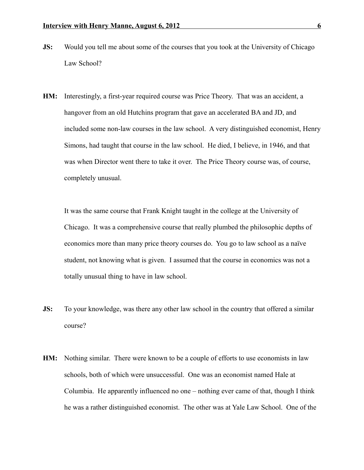- **JS:** Would you tell me about some of the courses that you took at the University of Chicago Law School?
- **HM:** Interestingly, a first-year required course was Price Theory. That was an accident, a hangover from an old Hutchins program that gave an accelerated BA and JD, and included some non-law courses in the law school. A very distinguished economist, Henry Simons, had taught that course in the law school. He died, I believe, in 1946, and that was when Director went there to take it over. The Price Theory course was, of course, completely unusual.

It was the same course that Frank Knight taught in the college at the University of Chicago. It was a comprehensive course that really plumbed the philosophic depths of economics more than many price theory courses do. You go to law school as a naïve student, not knowing what is given. I assumed that the course in economics was not a totally unusual thing to have in law school.

- **JS:** To your knowledge, was there any other law school in the country that offered a similar course?
- **HM:** Nothing similar. There were known to be a couple of efforts to use economists in law schools, both of which were unsuccessful. One was an economist named Hale at Columbia. He apparently influenced no one – nothing ever came of that, though I think he was a rather distinguished economist. The other was at Yale Law School. One of the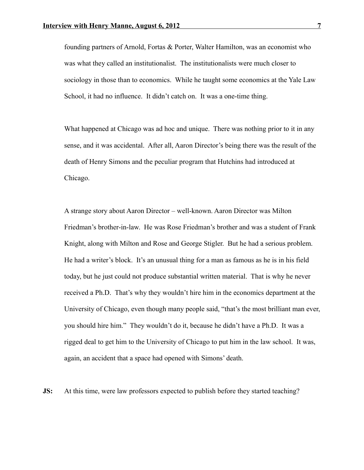founding partners of Arnold, Fortas & Porter, Walter Hamilton, was an economist who was what they called an institutionalist. The institutionalists were much closer to sociology in those than to economics. While he taught some economics at the Yale Law School, it had no influence. It didn't catch on. It was a one-time thing.

What happened at Chicago was ad hoc and unique. There was nothing prior to it in any sense, and it was accidental. After all, Aaron Director's being there was the result of the death of Henry Simons and the peculiar program that Hutchins had introduced at Chicago.

A strange story about Aaron Director – well-known. Aaron Director was Milton Friedman's brother-in-law. He was Rose Friedman's brother and was a student of Frank Knight, along with Milton and Rose and George Stigler. But he had a serious problem. He had a writer's block. It's an unusual thing for a man as famous as he is in his field today, but he just could not produce substantial written material. That is why he never received a Ph.D. That's why they wouldn't hire him in the economics department at the University of Chicago, even though many people said, "that's the most brilliant man ever, you should hire him." They wouldn't do it, because he didn't have a Ph.D. It was a rigged deal to get him to the University of Chicago to put him in the law school. It was, again, an accident that a space had opened with Simons' death.

**JS:** At this time, were law professors expected to publish before they started teaching?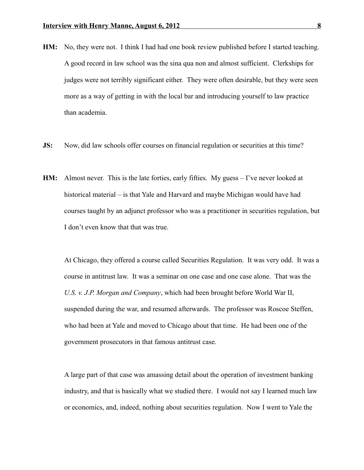- **HM:** No, they were not. I think I had had one book review published before I started teaching. A good record in law school was the sina qua non and almost sufficient. Clerkships for judges were not terribly significant either. They were often desirable, but they were seen more as a way of getting in with the local bar and introducing yourself to law practice than academia.
- **JS:** Now, did law schools offer courses on financial regulation or securities at this time?
- **HM:** Almost never. This is the late forties, early fifties. My guess I've never looked at historical material – is that Yale and Harvard and maybe Michigan would have had courses taught by an adjunct professor who was a practitioner in securities regulation, but I don't even know that that was true.

At Chicago, they offered a course called Securities Regulation. It was very odd. It was a course in antitrust law. It was a seminar on one case and one case alone. That was the *U.S. v. J.P. Morgan and Company*, which had been brought before World War II, suspended during the war, and resumed afterwards. The professor was Roscoe Steffen, who had been at Yale and moved to Chicago about that time. He had been one of the government prosecutors in that famous antitrust case.

A large part of that case was amassing detail about the operation of investment banking industry, and that is basically what we studied there. I would not say I learned much law or economics, and, indeed, nothing about securities regulation. Now I went to Yale the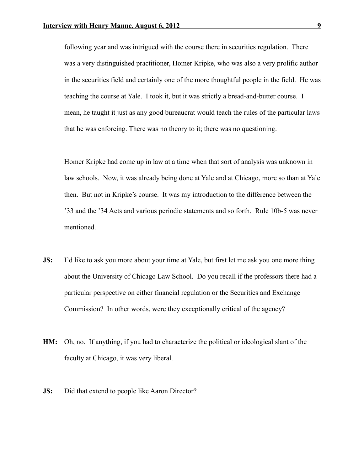following year and was intrigued with the course there in securities regulation. There was a very distinguished practitioner, Homer Kripke, who was also a very prolific author in the securities field and certainly one of the more thoughtful people in the field. He was teaching the course at Yale. I took it, but it was strictly a bread-and-butter course. I mean, he taught it just as any good bureaucrat would teach the rules of the particular laws that he was enforcing. There was no theory to it; there was no questioning.

Homer Kripke had come up in law at a time when that sort of analysis was unknown in law schools. Now, it was already being done at Yale and at Chicago, more so than at Yale then. But not in Kripke's course. It was my introduction to the difference between the '33 and the '34 Acts and various periodic statements and so forth. Rule 10b-5 was never mentioned.

- **JS:** I'd like to ask you more about your time at Yale, but first let me ask you one more thing about the University of Chicago Law School. Do you recall if the professors there had a particular perspective on either financial regulation or the Securities and Exchange Commission? In other words, were they exceptionally critical of the agency?
- **HM:** Oh, no. If anything, if you had to characterize the political or ideological slant of the faculty at Chicago, it was very liberal.
- **JS:** Did that extend to people like Aaron Director?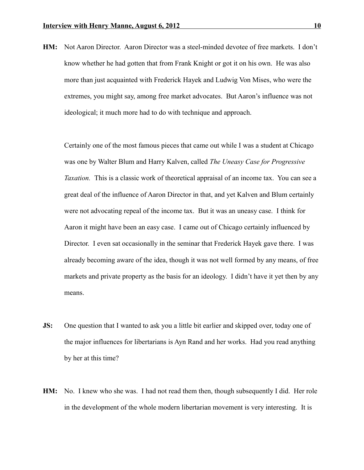**HM:** Not Aaron Director. Aaron Director was a steel-minded devotee of free markets. I don't know whether he had gotten that from Frank Knight or got it on his own. He was also more than just acquainted with Frederick Hayek and Ludwig Von Mises, who were the extremes, you might say, among free market advocates. But Aaron's influence was not ideological; it much more had to do with technique and approach.

Certainly one of the most famous pieces that came out while I was a student at Chicago was one by Walter Blum and Harry Kalven, called *The Uneasy Case for Progressive Taxation.* This is a classic work of theoretical appraisal of an income tax. You can see a great deal of the influence of Aaron Director in that, and yet Kalven and Blum certainly were not advocating repeal of the income tax. But it was an uneasy case. I think for Aaron it might have been an easy case. I came out of Chicago certainly influenced by Director. I even sat occasionally in the seminar that Frederick Hayek gave there. I was already becoming aware of the idea, though it was not well formed by any means, of free markets and private property as the basis for an ideology. I didn't have it yet then by any means.

- **JS:** One question that I wanted to ask you a little bit earlier and skipped over, today one of the major influences for libertarians is Ayn Rand and her works. Had you read anything by her at this time?
- **HM:** No. I knew who she was. I had not read them then, though subsequently I did. Her role in the development of the whole modern libertarian movement is very interesting. It is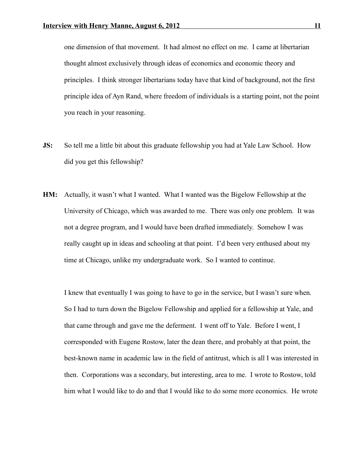one dimension of that movement. It had almost no effect on me. I came at libertarian thought almost exclusively through ideas of economics and economic theory and principles. I think stronger libertarians today have that kind of background, not the first principle idea of Ayn Rand, where freedom of individuals is a starting point, not the point you reach in your reasoning.

- **JS:** So tell me a little bit about this graduate fellowship you had at Yale Law School. How did you get this fellowship?
- **HM:** Actually, it wasn't what I wanted. What I wanted was the Bigelow Fellowship at the University of Chicago, which was awarded to me. There was only one problem. It was not a degree program, and I would have been drafted immediately. Somehow I was really caught up in ideas and schooling at that point. I'd been very enthused about my time at Chicago, unlike my undergraduate work. So I wanted to continue.

I knew that eventually I was going to have to go in the service, but I wasn't sure when. So I had to turn down the Bigelow Fellowship and applied for a fellowship at Yale, and that came through and gave me the deferment. I went off to Yale. Before I went, I corresponded with Eugene Rostow, later the dean there, and probably at that point, the best-known name in academic law in the field of antitrust, which is all I was interested in then. Corporations was a secondary, but interesting, area to me. I wrote to Rostow, told him what I would like to do and that I would like to do some more economics. He wrote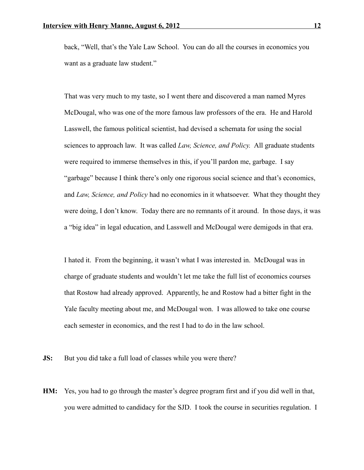back, "Well, that's the Yale Law School. You can do all the courses in economics you want as a graduate law student."

That was very much to my taste, so I went there and discovered a man named Myres McDougal, who was one of the more famous law professors of the era. He and Harold Lasswell, the famous political scientist, had devised a schemata for using the social sciences to approach law. It was called *Law, Science, and Policy.* All graduate students were required to immerse themselves in this, if you'll pardon me, garbage. I say "garbage" because I think there's only one rigorous social science and that's economics, and *Law, Science, and Policy* had no economics in it whatsoever. What they thought they were doing, I don't know. Today there are no remnants of it around. In those days, it was a "big idea" in legal education, and Lasswell and McDougal were demigods in that era.

I hated it. From the beginning, it wasn't what I was interested in. McDougal was in charge of graduate students and wouldn't let me take the full list of economics courses that Rostow had already approved. Apparently, he and Rostow had a bitter fight in the Yale faculty meeting about me, and McDougal won. I was allowed to take one course each semester in economics, and the rest I had to do in the law school.

**JS:** But you did take a full load of classes while you were there?

**HM:** Yes, you had to go through the master's degree program first and if you did well in that, you were admitted to candidacy for the SJD. I took the course in securities regulation. I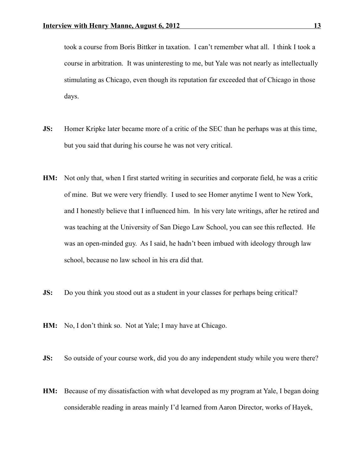took a course from Boris Bittker in taxation. I can't remember what all. I think I took a course in arbitration. It was uninteresting to me, but Yale was not nearly as intellectually stimulating as Chicago, even though its reputation far exceeded that of Chicago in those days.

- **JS:** Homer Kripke later became more of a critic of the SEC than he perhaps was at this time, but you said that during his course he was not very critical.
- **HM:** Not only that, when I first started writing in securities and corporate field, he was a critic of mine. But we were very friendly. I used to see Homer anytime I went to New York, and I honestly believe that I influenced him. In his very late writings, after he retired and was teaching at the University of San Diego Law School, you can see this reflected. He was an open-minded guy. As I said, he hadn't been imbued with ideology through law school, because no law school in his era did that.
- **JS:** Do you think you stood out as a student in your classes for perhaps being critical?
- **HM:** No, I don't think so. Not at Yale; I may have at Chicago.
- **JS:** So outside of your course work, did you do any independent study while you were there?
- **HM:** Because of my dissatisfaction with what developed as my program at Yale, I began doing considerable reading in areas mainly I'd learned from Aaron Director, works of Hayek,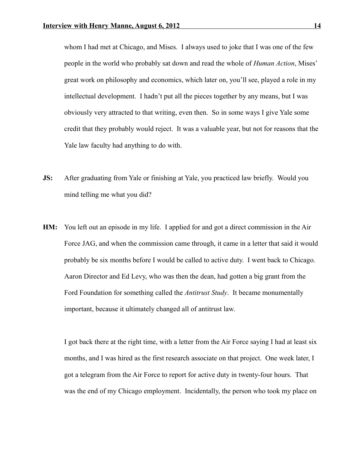whom I had met at Chicago, and Mises. I always used to joke that I was one of the few people in the world who probably sat down and read the whole of *Human Action*, Mises' great work on philosophy and economics, which later on, you'll see, played a role in my intellectual development. I hadn't put all the pieces together by any means, but I was obviously very attracted to that writing, even then. So in some ways I give Yale some credit that they probably would reject. It was a valuable year, but not for reasons that the Yale law faculty had anything to do with.

- **JS:** After graduating from Yale or finishing at Yale, you practiced law briefly. Would you mind telling me what you did?
- **HM:** You left out an episode in my life. I applied for and got a direct commission in the Air Force JAG, and when the commission came through, it came in a letter that said it would probably be six months before I would be called to active duty. I went back to Chicago. Aaron Director and Ed Levy, who was then the dean, had gotten a big grant from the Ford Foundation for something called the *Antitrust Study*. It became monumentally important, because it ultimately changed all of antitrust law.

I got back there at the right time, with a letter from the Air Force saying I had at least six months, and I was hired as the first research associate on that project. One week later, I got a telegram from the Air Force to report for active duty in twenty-four hours. That was the end of my Chicago employment. Incidentally, the person who took my place on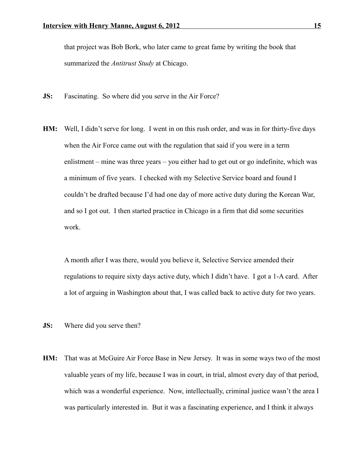that project was Bob Bork, who later came to great fame by writing the book that summarized the *Antitrust Study* at Chicago.

- **JS:** Fascinating. So where did you serve in the Air Force?
- **HM:** Well, I didn't serve for long. I went in on this rush order, and was in for thirty-five days when the Air Force came out with the regulation that said if you were in a term enlistment – mine was three years – you either had to get out or go indefinite, which was a minimum of five years. I checked with my Selective Service board and found I couldn't be drafted because I'd had one day of more active duty during the Korean War, and so I got out. I then started practice in Chicago in a firm that did some securities work.

A month after I was there, would you believe it, Selective Service amended their regulations to require sixty days active duty, which I didn't have. I got a 1-A card. After a lot of arguing in Washington about that, I was called back to active duty for two years.

- **JS:** Where did you serve then?
- **HM:** That was at McGuire Air Force Base in New Jersey. It was in some ways two of the most valuable years of my life, because I was in court, in trial, almost every day of that period, which was a wonderful experience. Now, intellectually, criminal justice wasn't the area I was particularly interested in. But it was a fascinating experience, and I think it always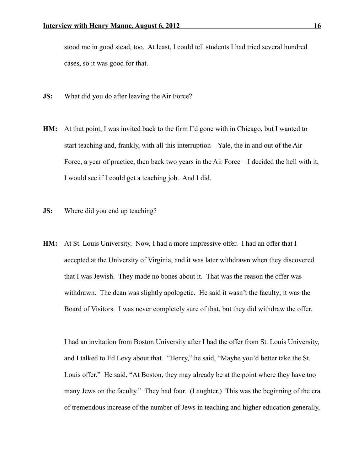stood me in good stead, too. At least, I could tell students I had tried several hundred cases, so it was good for that.

- **JS:** What did you do after leaving the Air Force?
- **HM:** At that point, I was invited back to the firm I'd gone with in Chicago, but I wanted to start teaching and, frankly, with all this interruption – Yale, the in and out of the Air Force, a year of practice, then back two years in the Air Force – I decided the hell with it, I would see if I could get a teaching job. And I did.
- **JS:** Where did you end up teaching?
- **HM:** At St. Louis University. Now, I had a more impressive offer. I had an offer that I accepted at the University of Virginia, and it was later withdrawn when they discovered that I was Jewish. They made no bones about it. That was the reason the offer was withdrawn. The dean was slightly apologetic. He said it wasn't the faculty; it was the Board of Visitors. I was never completely sure of that, but they did withdraw the offer.

I had an invitation from Boston University after I had the offer from St. Louis University, and I talked to Ed Levy about that. "Henry," he said, "Maybe you'd better take the St. Louis offer." He said, "At Boston, they may already be at the point where they have too many Jews on the faculty." They had four. (Laughter.) This was the beginning of the era of tremendous increase of the number of Jews in teaching and higher education generally,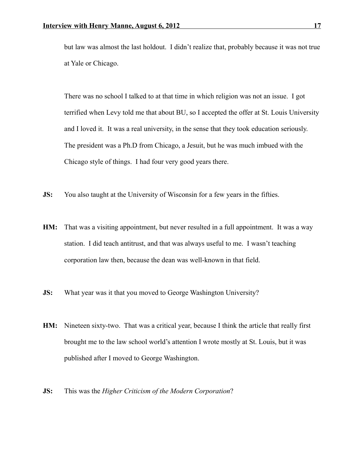but law was almost the last holdout. I didn't realize that, probably because it was not true at Yale or Chicago.

There was no school I talked to at that time in which religion was not an issue. I got terrified when Levy told me that about BU, so I accepted the offer at St. Louis University and I loved it. It was a real university, in the sense that they took education seriously. The president was a Ph.D from Chicago, a Jesuit, but he was much imbued with the Chicago style of things. I had four very good years there.

- **JS:** You also taught at the University of Wisconsin for a few years in the fifties.
- **HM:** That was a visiting appointment, but never resulted in a full appointment. It was a way station. I did teach antitrust, and that was always useful to me. I wasn't teaching corporation law then, because the dean was well-known in that field.
- **JS:** What year was it that you moved to George Washington University?
- **HM:** Nineteen sixty-two. That was a critical year, because I think the article that really first brought me to the law school world's attention I wrote mostly at St. Louis, but it was published after I moved to George Washington.
- **JS:** This was the *Higher Criticism of the Modern Corporation*?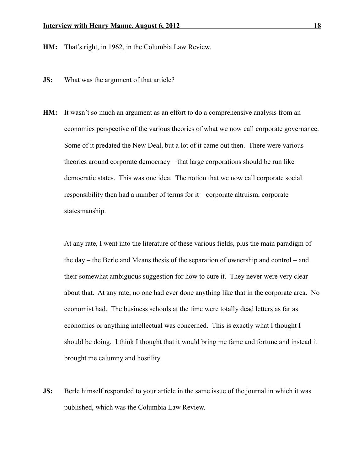**HM:** That's right, in 1962, in the Columbia Law Review.

- **JS:** What was the argument of that article?
- **HM:** It wasn't so much an argument as an effort to do a comprehensive analysis from an economics perspective of the various theories of what we now call corporate governance. Some of it predated the New Deal, but a lot of it came out then. There were various theories around corporate democracy – that large corporations should be run like democratic states. This was one idea. The notion that we now call corporate social responsibility then had a number of terms for it – corporate altruism, corporate statesmanship.

At any rate, I went into the literature of these various fields, plus the main paradigm of the day – the Berle and Means thesis of the separation of ownership and control – and their somewhat ambiguous suggestion for how to cure it. They never were very clear about that. At any rate, no one had ever done anything like that in the corporate area. No economist had. The business schools at the time were totally dead letters as far as economics or anything intellectual was concerned. This is exactly what I thought I should be doing. I think I thought that it would bring me fame and fortune and instead it brought me calumny and hostility.

**JS:** Berle himself responded to your article in the same issue of the journal in which it was published, which was the Columbia Law Review.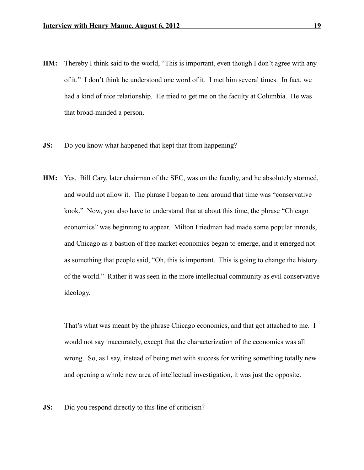- **HM:** Thereby I think said to the world, "This is important, even though I don't agree with any of it." I don't think he understood one word of it. I met him several times. In fact, we had a kind of nice relationship. He tried to get me on the faculty at Columbia. He was that broad-minded a person.
- **JS:** Do you know what happened that kept that from happening?
- **HM:** Yes. Bill Cary, later chairman of the SEC, was on the faculty, and he absolutely stormed, and would not allow it. The phrase I began to hear around that time was "conservative kook." Now, you also have to understand that at about this time, the phrase "Chicago economics" was beginning to appear. Milton Friedman had made some popular inroads, and Chicago as a bastion of free market economics began to emerge, and it emerged not as something that people said, "Oh, this is important. This is going to change the history of the world." Rather it was seen in the more intellectual community as evil conservative ideology.

That's what was meant by the phrase Chicago economics, and that got attached to me. I would not say inaccurately, except that the characterization of the economics was all wrong. So, as I say, instead of being met with success for writing something totally new and opening a whole new area of intellectual investigation, it was just the opposite.

**JS:** Did you respond directly to this line of criticism?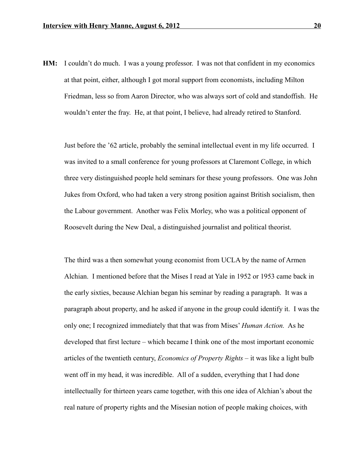**HM:** I couldn't do much. I was a young professor. I was not that confident in my economics at that point, either, although I got moral support from economists, including Milton Friedman, less so from Aaron Director, who was always sort of cold and standoffish. He wouldn't enter the fray. He, at that point, I believe, had already retired to Stanford.

Just before the '62 article, probably the seminal intellectual event in my life occurred. I was invited to a small conference for young professors at Claremont College, in which three very distinguished people held seminars for these young professors. One was John Jukes from Oxford, who had taken a very strong position against British socialism, then the Labour government. Another was Felix Morley, who was a political opponent of Roosevelt during the New Deal, a distinguished journalist and political theorist.

The third was a then somewhat young economist from UCLA by the name of Armen Alchian. I mentioned before that the Mises I read at Yale in 1952 or 1953 came back in the early sixties, because Alchian began his seminar by reading a paragraph. It was a paragraph about property, and he asked if anyone in the group could identify it. I was the only one; I recognized immediately that that was from Mises' *Human Action.* As he developed that first lecture – which became I think one of the most important economic articles of the twentieth century, *Economics of Property Rights* – it was like a light bulb went off in my head, it was incredible. All of a sudden, everything that I had done intellectually for thirteen years came together, with this one idea of Alchian's about the real nature of property rights and the Misesian notion of people making choices, with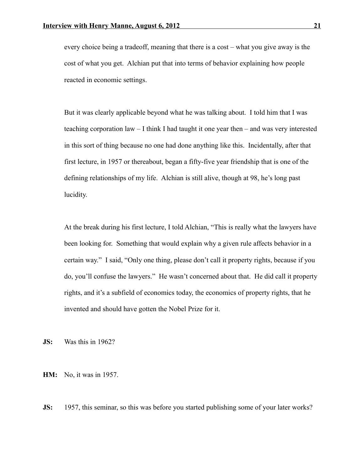every choice being a tradeoff, meaning that there is a cost – what you give away is the cost of what you get. Alchian put that into terms of behavior explaining how people reacted in economic settings.

But it was clearly applicable beyond what he was talking about. I told him that I was teaching corporation law – I think I had taught it one year then – and was very interested in this sort of thing because no one had done anything like this. Incidentally, after that first lecture, in 1957 or thereabout, began a fifty-five year friendship that is one of the defining relationships of my life. Alchian is still alive, though at 98, he's long past lucidity.

At the break during his first lecture, I told Alchian, "This is really what the lawyers have been looking for. Something that would explain why a given rule affects behavior in a certain way." I said, "Only one thing, please don't call it property rights, because if you do, you'll confuse the lawyers." He wasn't concerned about that. He did call it property rights, and it's a subfield of economics today, the economics of property rights, that he invented and should have gotten the Nobel Prize for it.

**JS:** Was this in 1962?

**HM:** No, it was in 1957.

**JS:** 1957, this seminar, so this was before you started publishing some of your later works?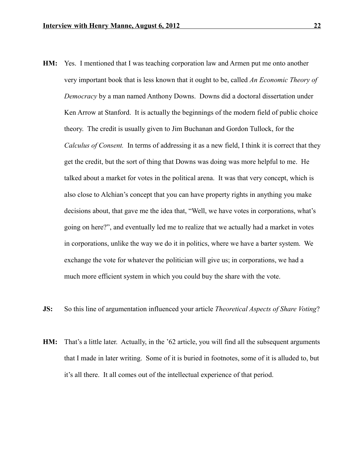- **HM:** Yes. I mentioned that I was teaching corporation law and Armen put me onto another very important book that is less known that it ought to be, called *An Economic Theory of Democracy* by a man named Anthony Downs. Downs did a doctoral dissertation under Ken Arrow at Stanford. It is actually the beginnings of the modern field of public choice theory. The credit is usually given to Jim Buchanan and Gordon Tullock, for the *Calculus of Consent.* In terms of addressing it as a new field, I think it is correct that they get the credit, but the sort of thing that Downs was doing was more helpful to me. He talked about a market for votes in the political arena. It was that very concept, which is also close to Alchian's concept that you can have property rights in anything you make decisions about, that gave me the idea that, "Well, we have votes in corporations, what's going on here?", and eventually led me to realize that we actually had a market in votes in corporations, unlike the way we do it in politics, where we have a barter system. We exchange the vote for whatever the politician will give us; in corporations, we had a much more efficient system in which you could buy the share with the vote.
- **JS:** So this line of argumentation influenced your article *Theoretical Aspects of Share Voting*?
- **HM:** That's a little later. Actually, in the '62 article, you will find all the subsequent arguments that I made in later writing. Some of it is buried in footnotes, some of it is alluded to, but it's all there. It all comes out of the intellectual experience of that period.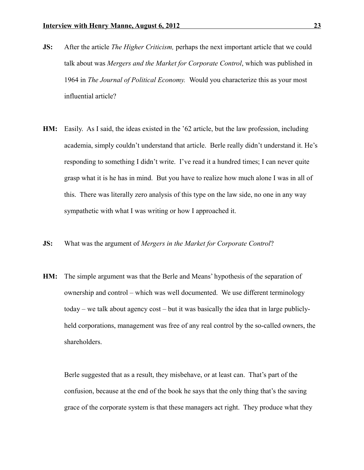- **JS:** After the article *The Higher Criticism,* perhaps the next important article that we could talk about was *Mergers and the Market for Corporate Control*, which was published in 1964 in *The Journal of Political Economy.* Would you characterize this as your most influential article?
- **HM:** Easily. As I said, the ideas existed in the '62 article, but the law profession, including academia, simply couldn't understand that article. Berle really didn't understand it. He's responding to something I didn't write. I've read it a hundred times; I can never quite grasp what it is he has in mind. But you have to realize how much alone I was in all of this. There was literally zero analysis of this type on the law side, no one in any way sympathetic with what I was writing or how I approached it.
- **JS:** What was the argument of *Mergers in the Market for Corporate Control*?
- **HM:** The simple argument was that the Berle and Means' hypothesis of the separation of ownership and control – which was well documented. We use different terminology today – we talk about agency cost – but it was basically the idea that in large publiclyheld corporations, management was free of any real control by the so-called owners, the shareholders.

Berle suggested that as a result, they misbehave, or at least can. That's part of the confusion, because at the end of the book he says that the only thing that's the saving grace of the corporate system is that these managers act right. They produce what they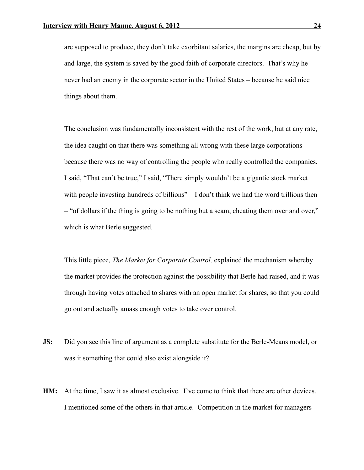are supposed to produce, they don't take exorbitant salaries, the margins are cheap, but by and large, the system is saved by the good faith of corporate directors. That's why he never had an enemy in the corporate sector in the United States – because he said nice things about them.

The conclusion was fundamentally inconsistent with the rest of the work, but at any rate, the idea caught on that there was something all wrong with these large corporations because there was no way of controlling the people who really controlled the companies. I said, "That can't be true," I said, "There simply wouldn't be a gigantic stock market with people investing hundreds of billions" – I don't think we had the word trillions then – "of dollars if the thing is going to be nothing but a scam, cheating them over and over," which is what Berle suggested.

This little piece, *The Market for Corporate Control,* explained the mechanism whereby the market provides the protection against the possibility that Berle had raised, and it was through having votes attached to shares with an open market for shares, so that you could go out and actually amass enough votes to take over control.

- **JS:** Did you see this line of argument as a complete substitute for the Berle-Means model, or was it something that could also exist alongside it?
- **HM:** At the time, I saw it as almost exclusive. I've come to think that there are other devices. I mentioned some of the others in that article. Competition in the market for managers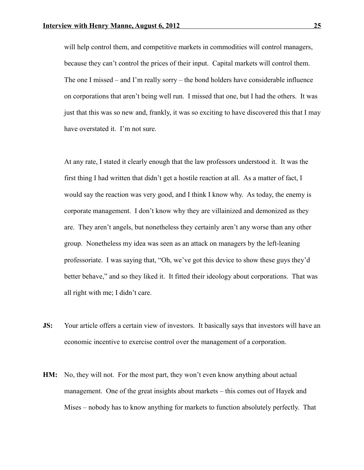will help control them, and competitive markets in commodities will control managers, because they can't control the prices of their input. Capital markets will control them. The one I missed – and I'm really sorry – the bond holders have considerable influence on corporations that aren't being well run. I missed that one, but I had the others. It was just that this was so new and, frankly, it was so exciting to have discovered this that I may have overstated it. I'm not sure.

At any rate, I stated it clearly enough that the law professors understood it. It was the first thing I had written that didn't get a hostile reaction at all. As a matter of fact, I would say the reaction was very good, and I think I know why. As today, the enemy is corporate management. I don't know why they are villainized and demonized as they are. They aren't angels, but nonetheless they certainly aren't any worse than any other group. Nonetheless my idea was seen as an attack on managers by the left-leaning professoriate. I was saying that, "Oh, we've got this device to show these guys they'd better behave," and so they liked it. It fitted their ideology about corporations. That was all right with me; I didn't care.

- **JS:** Your article offers a certain view of investors. It basically says that investors will have an economic incentive to exercise control over the management of a corporation.
- **HM:** No, they will not. For the most part, they won't even know anything about actual management. One of the great insights about markets – this comes out of Hayek and Mises – nobody has to know anything for markets to function absolutely perfectly. That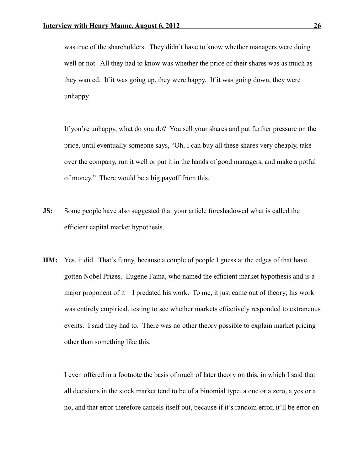was true of the shareholders. They didn't have to know whether managers were doing well or not. All they had to know was whether the price of their shares was as much as they wanted. If it was going up, they were happy. If it was going down, they were unhappy.

If you're unhappy, what do you do? You sell your shares and put further pressure on the price, until eventually someone says, "Oh, I can buy all these shares very cheaply, take over the company, run it well or put it in the hands of good managers, and make a potful of money." There would be a big payoff from this.

- **JS:** Some people have also suggested that your article foreshadowed what is called the efficient capital market hypothesis.
- **HM:** Yes, it did. That's funny, because a couple of people I guess at the edges of that have gotten Nobel Prizes. Eugene Fama, who named the efficient market hypothesis and is a major proponent of it  $-1$  predated his work. To me, it just came out of theory; his work was entirely empirical, testing to see whether markets effectively responded to extraneous events. I said they had to. There was no other theory possible to explain market pricing other than something like this.

I even offered in a footnote the basis of much of later theory on this, in which I said that all decisions in the stock market tend to be of a binomial type, a one or a zero, a yes or a no, and that error therefore cancels itself out, because if it's random error, it'll be error on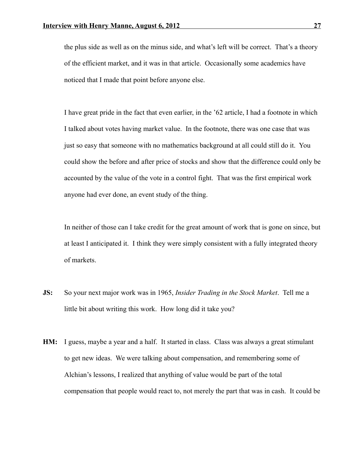the plus side as well as on the minus side, and what's left will be correct. That's a theory of the efficient market, and it was in that article. Occasionally some academics have noticed that I made that point before anyone else.

I have great pride in the fact that even earlier, in the '62 article, I had a footnote in which I talked about votes having market value. In the footnote, there was one case that was just so easy that someone with no mathematics background at all could still do it. You could show the before and after price of stocks and show that the difference could only be accounted by the value of the vote in a control fight. That was the first empirical work anyone had ever done, an event study of the thing.

In neither of those can I take credit for the great amount of work that is gone on since, but at least I anticipated it. I think they were simply consistent with a fully integrated theory of markets.

- **JS:** So your next major work was in 1965, *Insider Trading in the Stock Market*. Tell me a little bit about writing this work. How long did it take you?
- **HM:** I guess, maybe a year and a half. It started in class. Class was always a great stimulant to get new ideas. We were talking about compensation, and remembering some of Alchian's lessons, I realized that anything of value would be part of the total compensation that people would react to, not merely the part that was in cash. It could be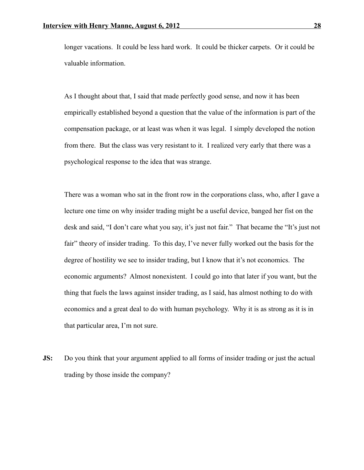longer vacations. It could be less hard work. It could be thicker carpets. Or it could be valuable information.

As I thought about that, I said that made perfectly good sense, and now it has been empirically established beyond a question that the value of the information is part of the compensation package, or at least was when it was legal. I simply developed the notion from there. But the class was very resistant to it. I realized very early that there was a psychological response to the idea that was strange.

There was a woman who sat in the front row in the corporations class, who, after I gave a lecture one time on why insider trading might be a useful device, banged her fist on the desk and said, "I don't care what you say, it's just not fair." That became the "It's just not fair" theory of insider trading. To this day, I've never fully worked out the basis for the degree of hostility we see to insider trading, but I know that it's not economics. The economic arguments? Almost nonexistent. I could go into that later if you want, but the thing that fuels the laws against insider trading, as I said, has almost nothing to do with economics and a great deal to do with human psychology. Why it is as strong as it is in that particular area, I'm not sure.

**JS:** Do you think that your argument applied to all forms of insider trading or just the actual trading by those inside the company?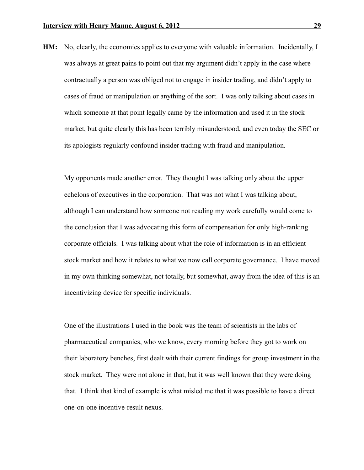**HM:** No, clearly, the economics applies to everyone with valuable information. Incidentally, I was always at great pains to point out that my argument didn't apply in the case where contractually a person was obliged not to engage in insider trading, and didn't apply to cases of fraud or manipulation or anything of the sort. I was only talking about cases in which someone at that point legally came by the information and used it in the stock market, but quite clearly this has been terribly misunderstood, and even today the SEC or its apologists regularly confound insider trading with fraud and manipulation.

My opponents made another error. They thought I was talking only about the upper echelons of executives in the corporation. That was not what I was talking about, although I can understand how someone not reading my work carefully would come to the conclusion that I was advocating this form of compensation for only high-ranking corporate officials. I was talking about what the role of information is in an efficient stock market and how it relates to what we now call corporate governance. I have moved in my own thinking somewhat, not totally, but somewhat, away from the idea of this is an incentivizing device for specific individuals.

One of the illustrations I used in the book was the team of scientists in the labs of pharmaceutical companies, who we know, every morning before they got to work on their laboratory benches, first dealt with their current findings for group investment in the stock market. They were not alone in that, but it was well known that they were doing that. I think that kind of example is what misled me that it was possible to have a direct one-on-one incentive-result nexus.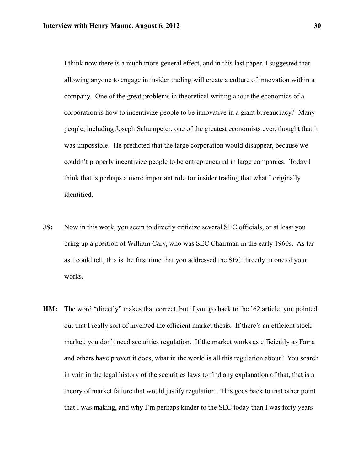I think now there is a much more general effect, and in this last paper, I suggested that allowing anyone to engage in insider trading will create a culture of innovation within a company. One of the great problems in theoretical writing about the economics of a corporation is how to incentivize people to be innovative in a giant bureaucracy? Many people, including Joseph Schumpeter, one of the greatest economists ever, thought that it was impossible. He predicted that the large corporation would disappear, because we couldn't properly incentivize people to be entrepreneurial in large companies. Today I think that is perhaps a more important role for insider trading that what I originally identified.

- **JS:** Now in this work, you seem to directly criticize several SEC officials, or at least you bring up a position of William Cary, who was SEC Chairman in the early 1960s. As far as I could tell, this is the first time that you addressed the SEC directly in one of your works.
- **HM:** The word "directly" makes that correct, but if you go back to the '62 article, you pointed out that I really sort of invented the efficient market thesis. If there's an efficient stock market, you don't need securities regulation. If the market works as efficiently as Fama and others have proven it does, what in the world is all this regulation about? You search in vain in the legal history of the securities laws to find any explanation of that, that is a theory of market failure that would justify regulation. This goes back to that other point that I was making, and why I'm perhaps kinder to the SEC today than I was forty years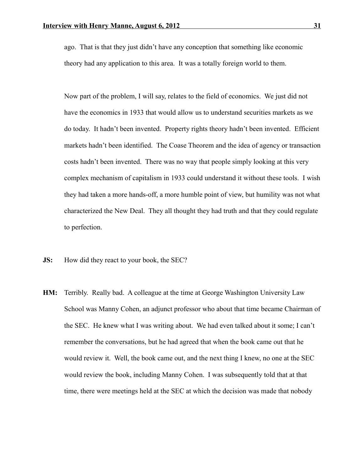ago. That is that they just didn't have any conception that something like economic theory had any application to this area. It was a totally foreign world to them.

Now part of the problem, I will say, relates to the field of economics. We just did not have the economics in 1933 that would allow us to understand securities markets as we do today. It hadn't been invented. Property rights theory hadn't been invented. Efficient markets hadn't been identified. The Coase Theorem and the idea of agency or transaction costs hadn't been invented. There was no way that people simply looking at this very complex mechanism of capitalism in 1933 could understand it without these tools. I wish they had taken a more hands-off, a more humble point of view, but humility was not what characterized the New Deal. They all thought they had truth and that they could regulate to perfection.

- **JS:** How did they react to your book, the SEC?
- **HM:** Terribly. Really bad. A colleague at the time at George Washington University Law School was Manny Cohen, an adjunct professor who about that time became Chairman of the SEC. He knew what I was writing about. We had even talked about it some; I can't remember the conversations, but he had agreed that when the book came out that he would review it. Well, the book came out, and the next thing I knew, no one at the SEC would review the book, including Manny Cohen. I was subsequently told that at that time, there were meetings held at the SEC at which the decision was made that nobody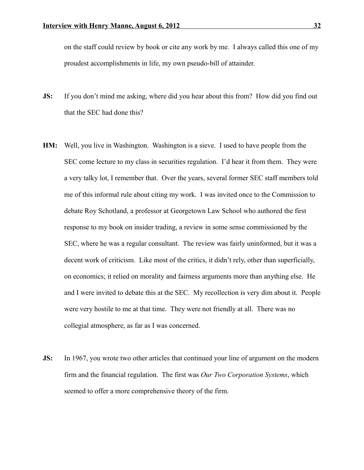on the staff could review by book or cite any work by me. I always called this one of my proudest accomplishments in life, my own pseudo-bill of attainder.

- **JS:** If you don't mind me asking, where did you hear about this from? How did you find out that the SEC had done this?
- **HM:** Well, you live in Washington. Washington is a sieve. I used to have people from the SEC come lecture to my class in securities regulation. I'd hear it from them. They were a very talky lot, I remember that. Over the years, several former SEC staff members told me of this informal rule about citing my work. I was invited once to the Commission to debate Roy Schotland, a professor at Georgetown Law School who authored the first response to my book on insider trading, a review in some sense commissioned by the SEC, where he was a regular consultant. The review was fairly uninformed, but it was a decent work of criticism. Like most of the critics, it didn't rely, other than superficially, on economics; it relied on morality and fairness arguments more than anything else. He and I were invited to debate this at the SEC. My recollection is very dim about it. People were very hostile to me at that time. They were not friendly at all. There was no collegial atmosphere, as far as I was concerned.
- **JS:** In 1967, you wrote two other articles that continued your line of argument on the modern firm and the financial regulation. The first was *Our Two Corporation Systems*, which seemed to offer a more comprehensive theory of the firm.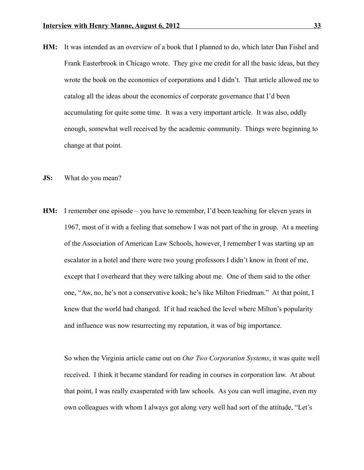- **HM:** It was intended as an overview of a book that I planned to do, which later Dan Fishel and Frank Easterbrook in Chicago wrote. They give me credit for all the basic ideas, but they wrote the book on the economics of corporations and I didn't. That article allowed me to catalog all the ideas about the economics of corporate governance that I'd been accumulating for quite some time. It was a very important article. It was also, oddly enough, somewhat well received by the academic community. Things were beginning to change at that point.
- **JS:** What do you mean?
- **HM:** I remember one episode you have to remember, I'd been teaching for eleven years in 1967, most of it with a feeling that somehow I was not part of the in group. At a meeting of the Association of American Law Schools, however, I remember I was starting up an escalator in a hotel and there were two young professors I didn't know in front of me, except that I overheard that they were talking about me. One of them said to the other one, "Aw, no, he's not a conservative kook; he's like Milton Friedman." At that point, I knew that the world had changed. If it had reached the level where Milton's popularity and influence was now resurrecting my reputation, it was of big importance.

So when the Virginia article came out on *Our Two Corporation Systems*, it was quite well received. I think it became standard for reading in courses in corporation law. At about that point, I was really exasperated with law schools. As you can well imagine, even my own colleagues with whom I always got along very well had sort of the attitude, "Let's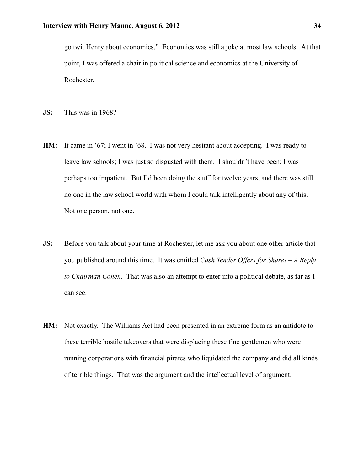go twit Henry about economics." Economics was still a joke at most law schools. At that point, I was offered a chair in political science and economics at the University of Rochester.

- **JS:** This was in 1968?
- **HM:** It came in '67; I went in '68. I was not very hesitant about accepting. I was ready to leave law schools; I was just so disgusted with them. I shouldn't have been; I was perhaps too impatient. But I'd been doing the stuff for twelve years, and there was still no one in the law school world with whom I could talk intelligently about any of this. Not one person, not one.
- **JS:** Before you talk about your time at Rochester, let me ask you about one other article that you published around this time. It was entitled *Cash Tender Offers for Shares – A Reply to Chairman Cohen.* That was also an attempt to enter into a political debate, as far as I can see.
- **HM:** Not exactly. The Williams Act had been presented in an extreme form as an antidote to these terrible hostile takeovers that were displacing these fine gentlemen who were running corporations with financial pirates who liquidated the company and did all kinds of terrible things. That was the argument and the intellectual level of argument.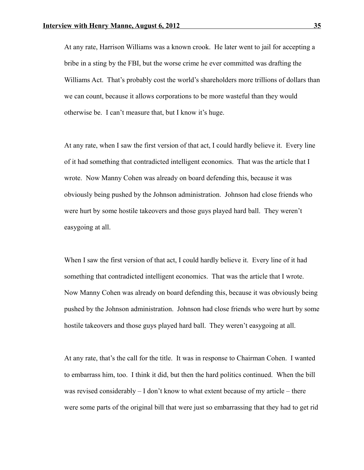At any rate, Harrison Williams was a known crook. He later went to jail for accepting a bribe in a sting by the FBI, but the worse crime he ever committed was drafting the Williams Act. That's probably cost the world's shareholders more trillions of dollars than we can count, because it allows corporations to be more wasteful than they would otherwise be. I can't measure that, but I know it's huge.

At any rate, when I saw the first version of that act, I could hardly believe it. Every line of it had something that contradicted intelligent economics. That was the article that I wrote. Now Manny Cohen was already on board defending this, because it was obviously being pushed by the Johnson administration. Johnson had close friends who were hurt by some hostile takeovers and those guys played hard ball. They weren't easygoing at all.

When I saw the first version of that act, I could hardly believe it. Every line of it had something that contradicted intelligent economics. That was the article that I wrote. Now Manny Cohen was already on board defending this, because it was obviously being pushed by the Johnson administration. Johnson had close friends who were hurt by some hostile takeovers and those guys played hard ball. They weren't easygoing at all.

At any rate, that's the call for the title. It was in response to Chairman Cohen. I wanted to embarrass him, too. I think it did, but then the hard politics continued. When the bill was revised considerably – I don't know to what extent because of my article – there were some parts of the original bill that were just so embarrassing that they had to get rid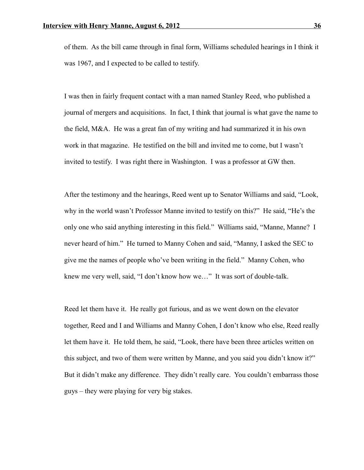of them. As the bill came through in final form, Williams scheduled hearings in I think it was 1967, and I expected to be called to testify.

I was then in fairly frequent contact with a man named Stanley Reed, who published a journal of mergers and acquisitions. In fact, I think that journal is what gave the name to the field, M&A. He was a great fan of my writing and had summarized it in his own work in that magazine. He testified on the bill and invited me to come, but I wasn't invited to testify. I was right there in Washington. I was a professor at GW then.

After the testimony and the hearings, Reed went up to Senator Williams and said, "Look, why in the world wasn't Professor Manne invited to testify on this?" He said, "He's the only one who said anything interesting in this field." Williams said, "Manne, Manne? I never heard of him." He turned to Manny Cohen and said, "Manny, I asked the SEC to give me the names of people who've been writing in the field." Manny Cohen, who knew me very well, said, "I don't know how we…" It was sort of double-talk.

Reed let them have it. He really got furious, and as we went down on the elevator together, Reed and I and Williams and Manny Cohen, I don't know who else, Reed really let them have it. He told them, he said, "Look, there have been three articles written on this subject, and two of them were written by Manne, and you said you didn't know it?" But it didn't make any difference. They didn't really care. You couldn't embarrass those guys – they were playing for very big stakes.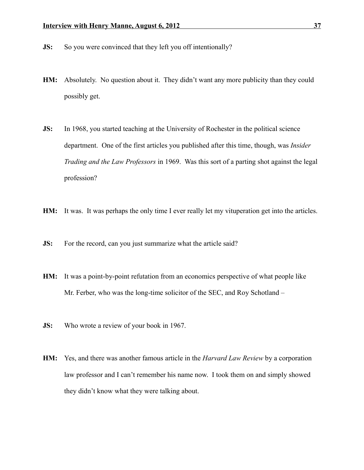- **JS:** So you were convinced that they left you off intentionally?
- **HM:** Absolutely. No question about it. They didn't want any more publicity than they could possibly get.
- **JS:** In 1968, you started teaching at the University of Rochester in the political science department. One of the first articles you published after this time, though, was *Insider Trading and the Law Professors* in 1969. Was this sort of a parting shot against the legal profession?
- **HM:** It was. It was perhaps the only time I ever really let my vituperation get into the articles.
- **JS:** For the record, can you just summarize what the article said?
- **HM:** It was a point-by-point refutation from an economics perspective of what people like Mr. Ferber, who was the long-time solicitor of the SEC, and Roy Schotland –
- **JS:** Who wrote a review of your book in 1967.
- **HM:** Yes, and there was another famous article in the *Harvard Law Review* by a corporation law professor and I can't remember his name now. I took them on and simply showed they didn't know what they were talking about.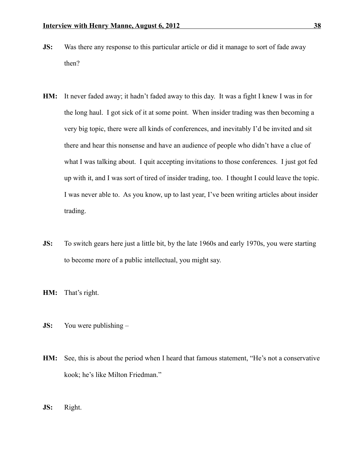- **JS:** Was there any response to this particular article or did it manage to sort of fade away then?
- **HM:** It never faded away; it hadn't faded away to this day. It was a fight I knew I was in for the long haul. I got sick of it at some point. When insider trading was then becoming a very big topic, there were all kinds of conferences, and inevitably I'd be invited and sit there and hear this nonsense and have an audience of people who didn't have a clue of what I was talking about. I quit accepting invitations to those conferences. I just got fed up with it, and I was sort of tired of insider trading, too. I thought I could leave the topic. I was never able to. As you know, up to last year, I've been writing articles about insider trading.
- **JS:** To switch gears here just a little bit, by the late 1960s and early 1970s, you were starting to become more of a public intellectual, you might say.
- **HM:** That's right.
- **JS:** You were publishing –
- **HM:** See, this is about the period when I heard that famous statement, "He's not a conservative kook; he's like Milton Friedman."
- **JS:** Right.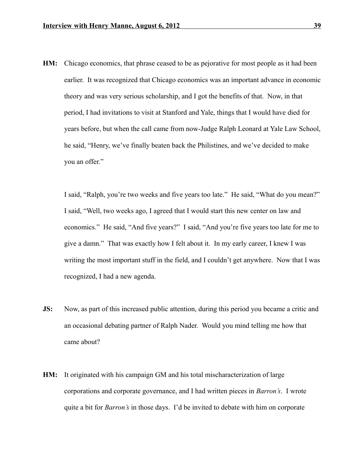**HM:** Chicago economics, that phrase ceased to be as pejorative for most people as it had been earlier. It was recognized that Chicago economics was an important advance in economic theory and was very serious scholarship, and I got the benefits of that. Now, in that period, I had invitations to visit at Stanford and Yale, things that I would have died for years before, but when the call came from now-Judge Ralph Leonard at Yale Law School, he said, "Henry, we've finally beaten back the Philistines, and we've decided to make you an offer."

I said, "Ralph, you're two weeks and five years too late." He said, "What do you mean?" I said, "Well, two weeks ago, I agreed that I would start this new center on law and economics." He said, "And five years?" I said, "And you're five years too late for me to give a damn." That was exactly how I felt about it. In my early career, I knew I was writing the most important stuff in the field, and I couldn't get anywhere. Now that I was recognized, I had a new agenda.

- **JS:** Now, as part of this increased public attention, during this period you became a critic and an occasional debating partner of Ralph Nader. Would you mind telling me how that came about?
- **HM:** It originated with his campaign GM and his total mischaracterization of large corporations and corporate governance, and I had written pieces in *Barron's*. I wrote quite a bit for *Barron's* in those days. I'd be invited to debate with him on corporate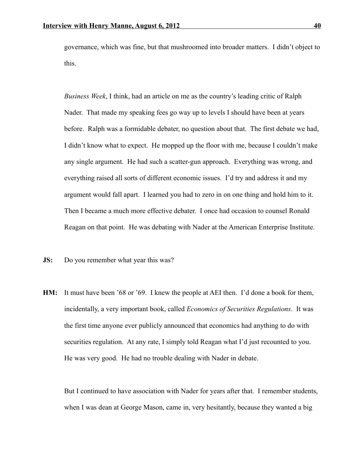governance, which was fine, but that mushroomed into broader matters. I didn't object to this.

*Business Week*, I think, had an article on me as the country's leading critic of Ralph Nader. That made my speaking fees go way up to levels I should have been at years before. Ralph was a formidable debater, no question about that. The first debate we had, I didn't know what to expect. He mopped up the floor with me, because I couldn't make any single argument. He had such a scatter-gun approach. Everything was wrong, and everything raised all sorts of different economic issues. I'd try and address it and my argument would fall apart. I learned you had to zero in on one thing and hold him to it. Then I became a much more effective debater. I once had occasion to counsel Ronald Reagan on that point. He was debating with Nader at the American Enterprise Institute.

- **JS:** Do you remember what year this was?
- **HM:** It must have been '68 or '69. I knew the people at AEI then. I'd done a book for them, incidentally, a very important book, called *Economics of Securities Regulations*. It was the first time anyone ever publicly announced that economics had anything to do with securities regulation. At any rate, I simply told Reagan what I'd just recounted to you. He was very good. He had no trouble dealing with Nader in debate.

But I continued to have association with Nader for years after that. I remember students, when I was dean at George Mason, came in, very hesitantly, because they wanted a big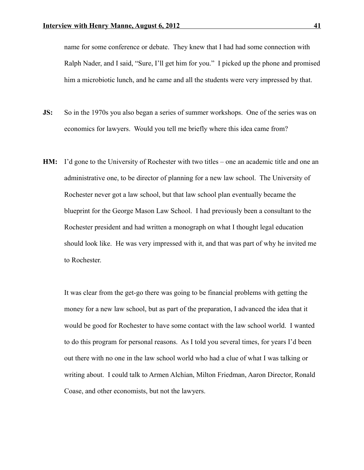name for some conference or debate. They knew that I had had some connection with Ralph Nader, and I said, "Sure, I'll get him for you." I picked up the phone and promised him a microbiotic lunch, and he came and all the students were very impressed by that.

- **JS:** So in the 1970s you also began a series of summer workshops. One of the series was on economics for lawyers. Would you tell me briefly where this idea came from?
- **HM:** I'd gone to the University of Rochester with two titles one an academic title and one an administrative one, to be director of planning for a new law school. The University of Rochester never got a law school, but that law school plan eventually became the blueprint for the George Mason Law School. I had previously been a consultant to the Rochester president and had written a monograph on what I thought legal education should look like. He was very impressed with it, and that was part of why he invited me to Rochester.

It was clear from the get-go there was going to be financial problems with getting the money for a new law school, but as part of the preparation, I advanced the idea that it would be good for Rochester to have some contact with the law school world. I wanted to do this program for personal reasons. As I told you several times, for years I'd been out there with no one in the law school world who had a clue of what I was talking or writing about. I could talk to Armen Alchian, Milton Friedman, Aaron Director, Ronald Coase, and other economists, but not the lawyers.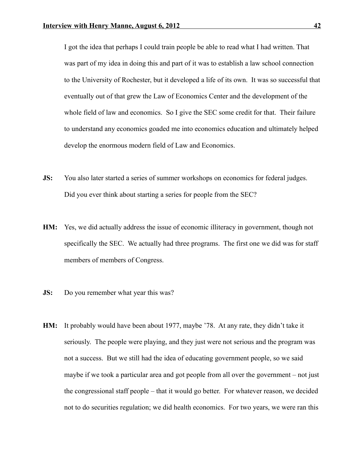I got the idea that perhaps I could train people be able to read what I had written. That was part of my idea in doing this and part of it was to establish a law school connection to the University of Rochester, but it developed a life of its own. It was so successful that eventually out of that grew the Law of Economics Center and the development of the whole field of law and economics. So I give the SEC some credit for that. Their failure to understand any economics goaded me into economics education and ultimately helped develop the enormous modern field of Law and Economics.

- **JS:** You also later started a series of summer workshops on economics for federal judges. Did you ever think about starting a series for people from the SEC?
- **HM:** Yes, we did actually address the issue of economic illiteracy in government, though not specifically the SEC. We actually had three programs. The first one we did was for staff members of members of Congress.
- **JS:** Do you remember what year this was?
- **HM:** It probably would have been about 1977, maybe '78. At any rate, they didn't take it seriously. The people were playing, and they just were not serious and the program was not a success. But we still had the idea of educating government people, so we said maybe if we took a particular area and got people from all over the government – not just the congressional staff people – that it would go better. For whatever reason, we decided not to do securities regulation; we did health economics. For two years, we were ran this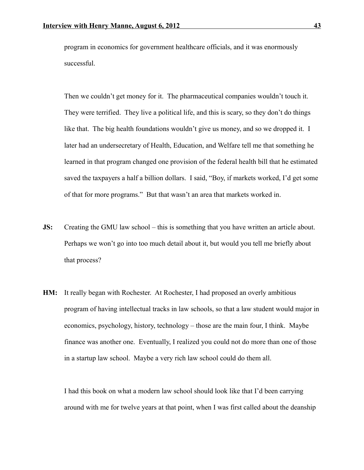program in economics for government healthcare officials, and it was enormously successful.

Then we couldn't get money for it. The pharmaceutical companies wouldn't touch it. They were terrified. They live a political life, and this is scary, so they don't do things like that. The big health foundations wouldn't give us money, and so we dropped it. I later had an undersecretary of Health, Education, and Welfare tell me that something he learned in that program changed one provision of the federal health bill that he estimated saved the taxpayers a half a billion dollars. I said, "Boy, if markets worked, I'd get some of that for more programs." But that wasn't an area that markets worked in.

- **JS:** Creating the GMU law school this is something that you have written an article about. Perhaps we won't go into too much detail about it, but would you tell me briefly about that process?
- **HM:** It really began with Rochester. At Rochester, I had proposed an overly ambitious program of having intellectual tracks in law schools, so that a law student would major in economics, psychology, history, technology – those are the main four, I think. Maybe finance was another one. Eventually, I realized you could not do more than one of those in a startup law school. Maybe a very rich law school could do them all.

I had this book on what a modern law school should look like that I'd been carrying around with me for twelve years at that point, when I was first called about the deanship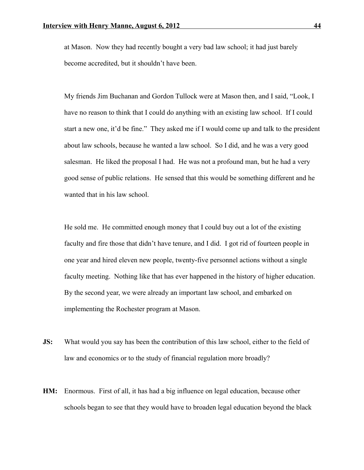at Mason. Now they had recently bought a very bad law school; it had just barely become accredited, but it shouldn't have been.

My friends Jim Buchanan and Gordon Tullock were at Mason then, and I said, "Look, I have no reason to think that I could do anything with an existing law school. If I could start a new one, it'd be fine." They asked me if I would come up and talk to the president about law schools, because he wanted a law school. So I did, and he was a very good salesman. He liked the proposal I had. He was not a profound man, but he had a very good sense of public relations. He sensed that this would be something different and he wanted that in his law school.

He sold me. He committed enough money that I could buy out a lot of the existing faculty and fire those that didn't have tenure, and I did. I got rid of fourteen people in one year and hired eleven new people, twenty-five personnel actions without a single faculty meeting. Nothing like that has ever happened in the history of higher education. By the second year, we were already an important law school, and embarked on implementing the Rochester program at Mason.

- **JS:** What would you say has been the contribution of this law school, either to the field of law and economics or to the study of financial regulation more broadly?
- **HM:** Enormous. First of all, it has had a big influence on legal education, because other schools began to see that they would have to broaden legal education beyond the black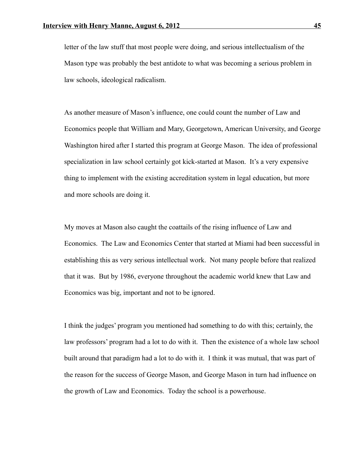letter of the law stuff that most people were doing, and serious intellectualism of the Mason type was probably the best antidote to what was becoming a serious problem in law schools, ideological radicalism.

As another measure of Mason's influence, one could count the number of Law and Economics people that William and Mary, Georgetown, American University, and George Washington hired after I started this program at George Mason. The idea of professional specialization in law school certainly got kick-started at Mason. It's a very expensive thing to implement with the existing accreditation system in legal education, but more and more schools are doing it.

My moves at Mason also caught the coattails of the rising influence of Law and Economics. The Law and Economics Center that started at Miami had been successful in establishing this as very serious intellectual work. Not many people before that realized that it was. But by 1986, everyone throughout the academic world knew that Law and Economics was big, important and not to be ignored.

I think the judges' program you mentioned had something to do with this; certainly, the law professors' program had a lot to do with it. Then the existence of a whole law school built around that paradigm had a lot to do with it. I think it was mutual, that was part of the reason for the success of George Mason, and George Mason in turn had influence on the growth of Law and Economics. Today the school is a powerhouse.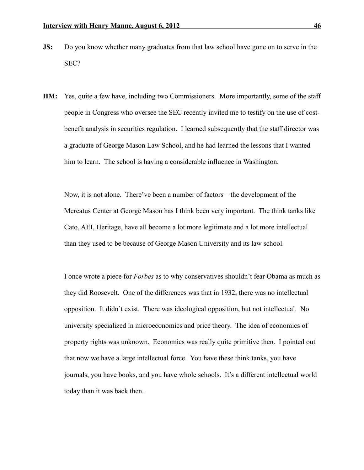- **JS:** Do you know whether many graduates from that law school have gone on to serve in the SEC?
- **HM:** Yes, quite a few have, including two Commissioners. More importantly, some of the staff people in Congress who oversee the SEC recently invited me to testify on the use of costbenefit analysis in securities regulation. I learned subsequently that the staff director was a graduate of George Mason Law School, and he had learned the lessons that I wanted him to learn. The school is having a considerable influence in Washington.

Now, it is not alone. There've been a number of factors – the development of the Mercatus Center at George Mason has I think been very important. The think tanks like Cato, AEI, Heritage, have all become a lot more legitimate and a lot more intellectual than they used to be because of George Mason University and its law school.

I once wrote a piece for *Forbes* as to why conservatives shouldn't fear Obama as much as they did Roosevelt. One of the differences was that in 1932, there was no intellectual opposition. It didn't exist. There was ideological opposition, but not intellectual. No university specialized in microeconomics and price theory. The idea of economics of property rights was unknown. Economics was really quite primitive then. I pointed out that now we have a large intellectual force. You have these think tanks, you have journals, you have books, and you have whole schools. It's a different intellectual world today than it was back then.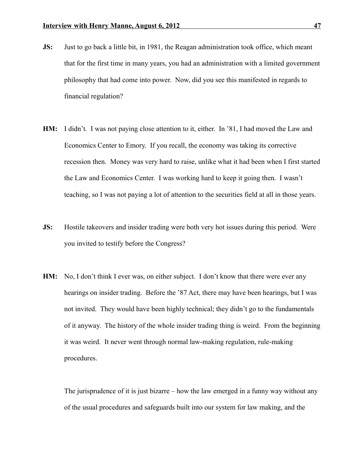- **JS:** Just to go back a little bit, in 1981, the Reagan administration took office, which meant that for the first time in many years, you had an administration with a limited government philosophy that had come into power. Now, did you see this manifested in regards to financial regulation?
- **HM:** I didn't. I was not paying close attention to it, either. In '81, I had moved the Law and Economics Center to Emory. If you recall, the economy was taking its corrective recession then. Money was very hard to raise, unlike what it had been when I first started the Law and Economics Center. I was working hard to keep it going then. I wasn't teaching, so I was not paying a lot of attention to the securities field at all in those years.
- **JS:** Hostile takeovers and insider trading were both very hot issues during this period. Were you invited to testify before the Congress?
- **HM:** No, I don't think I ever was, on either subject. I don't know that there were ever any hearings on insider trading. Before the '87 Act, there may have been hearings, but I was not invited. They would have been highly technical; they didn't go to the fundamentals of it anyway. The history of the whole insider trading thing is weird. From the beginning it was weird. It never went through normal law-making regulation, rule-making procedures.

The jurisprudence of it is just bizarre – how the law emerged in a funny way without any of the usual procedures and safeguards built into our system for law making, and the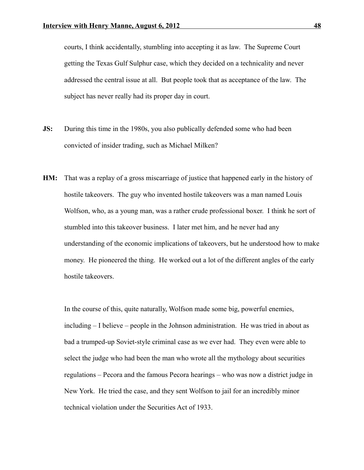courts, I think accidentally, stumbling into accepting it as law. The Supreme Court getting the Texas Gulf Sulphur case, which they decided on a technicality and never addressed the central issue at all. But people took that as acceptance of the law. The subject has never really had its proper day in court.

- **JS:** During this time in the 1980s, you also publically defended some who had been convicted of insider trading, such as Michael Milken?
- **HM:** That was a replay of a gross miscarriage of justice that happened early in the history of hostile takeovers. The guy who invented hostile takeovers was a man named Louis Wolfson, who, as a young man, was a rather crude professional boxer. I think he sort of stumbled into this takeover business. I later met him, and he never had any understanding of the economic implications of takeovers, but he understood how to make money. He pioneered the thing. He worked out a lot of the different angles of the early hostile takeovers.

In the course of this, quite naturally, Wolfson made some big, powerful enemies, including – I believe – people in the Johnson administration. He was tried in about as bad a trumped-up Soviet-style criminal case as we ever had. They even were able to select the judge who had been the man who wrote all the mythology about securities regulations – Pecora and the famous Pecora hearings – who was now a district judge in New York. He tried the case, and they sent Wolfson to jail for an incredibly minor technical violation under the Securities Act of 1933.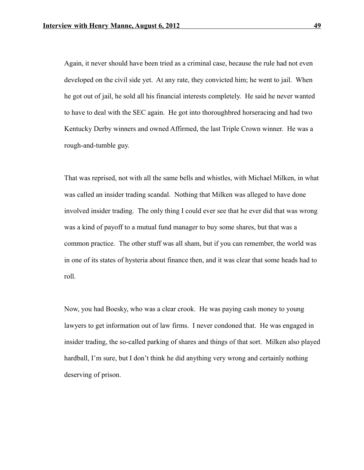Again, it never should have been tried as a criminal case, because the rule had not even developed on the civil side yet. At any rate, they convicted him; he went to jail. When he got out of jail, he sold all his financial interests completely. He said he never wanted to have to deal with the SEC again. He got into thoroughbred horseracing and had two Kentucky Derby winners and owned Affirmed, the last Triple Crown winner. He was a rough-and-tumble guy.

That was reprised, not with all the same bells and whistles, with Michael Milken, in what was called an insider trading scandal. Nothing that Milken was alleged to have done involved insider trading. The only thing I could ever see that he ever did that was wrong was a kind of payoff to a mutual fund manager to buy some shares, but that was a common practice. The other stuff was all sham, but if you can remember, the world was in one of its states of hysteria about finance then, and it was clear that some heads had to roll.

Now, you had Boesky, who was a clear crook. He was paying cash money to young lawyers to get information out of law firms. I never condoned that. He was engaged in insider trading, the so-called parking of shares and things of that sort. Milken also played hardball, I'm sure, but I don't think he did anything very wrong and certainly nothing deserving of prison.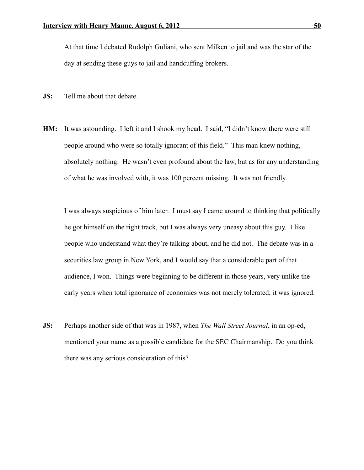At that time I debated Rudolph Guliani, who sent Milken to jail and was the star of the day at sending these guys to jail and handcuffing brokers.

- **JS:** Tell me about that debate.
- **HM:** It was astounding. I left it and I shook my head. I said, "I didn't know there were still people around who were so totally ignorant of this field." This man knew nothing, absolutely nothing. He wasn't even profound about the law, but as for any understanding of what he was involved with, it was 100 percent missing. It was not friendly.

I was always suspicious of him later. I must say I came around to thinking that politically he got himself on the right track, but I was always very uneasy about this guy. I like people who understand what they're talking about, and he did not. The debate was in a securities law group in New York, and I would say that a considerable part of that audience, I won. Things were beginning to be different in those years, very unlike the early years when total ignorance of economics was not merely tolerated; it was ignored.

**JS:** Perhaps another side of that was in 1987, when *The Wall Street Journal*, in an op-ed, mentioned your name as a possible candidate for the SEC Chairmanship. Do you think there was any serious consideration of this?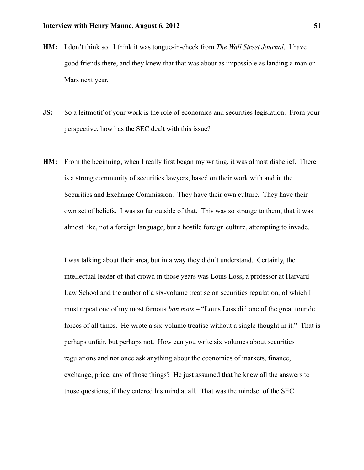- **HM:** I don't think so. I think it was tongue-in-cheek from *The Wall Street Journal*. I have good friends there, and they knew that that was about as impossible as landing a man on Mars next year.
- **JS:** So a leitmotif of your work is the role of economics and securities legislation. From your perspective, how has the SEC dealt with this issue?
- **HM:** From the beginning, when I really first began my writing, it was almost disbelief. There is a strong community of securities lawyers, based on their work with and in the Securities and Exchange Commission. They have their own culture. They have their own set of beliefs. I was so far outside of that. This was so strange to them, that it was almost like, not a foreign language, but a hostile foreign culture, attempting to invade.

I was talking about their area, but in a way they didn't understand. Certainly, the intellectual leader of that crowd in those years was Louis Loss, a professor at Harvard Law School and the author of a six-volume treatise on securities regulation, of which I must repeat one of my most famous *bon mots* – "Louis Loss did one of the great tour de forces of all times. He wrote a six-volume treatise without a single thought in it." That is perhaps unfair, but perhaps not. How can you write six volumes about securities regulations and not once ask anything about the economics of markets, finance, exchange, price, any of those things? He just assumed that he knew all the answers to those questions, if they entered his mind at all. That was the mindset of the SEC.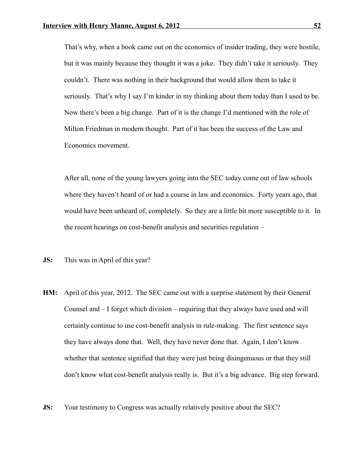That's why, when a book came out on the economics of insider trading, they were hostile, but it was mainly because they thought it was a joke. They didn't take it seriously. They couldn't. There was nothing in their background that would allow them to take it seriously. That's why I say I'm kinder in my thinking about them today than I used to be. Now there's been a big change. Part of it is the change I'd mentioned with the role of Milton Friedman in modern thought. Part of it has been the success of the Law and Economics movement.

After all, none of the young lawyers going into the SEC today come out of law schools where they haven't heard of or had a course in law and economics. Forty years ago, that would have been unheard of, completely. So they are a little bit more susceptible to it. In the recent hearings on cost-benefit analysis and securities regulation –

- **JS:** This was in April of this year?
- **HM:** April of this year, 2012. The SEC came out with a surprise statement by their General Counsel and – I forget which division – requiring that they always have used and will certainly continue to use cost-benefit analysis in rule-making. The first sentence says they have always done that. Well, they have never done that. Again, I don't know whether that sentence signified that they were just being disingenuous or that they still don't know what cost-benefit analysis really is. But it's a big advance. Big step forward.
- **JS:** Your testimony to Congress was actually relatively positive about the SEC?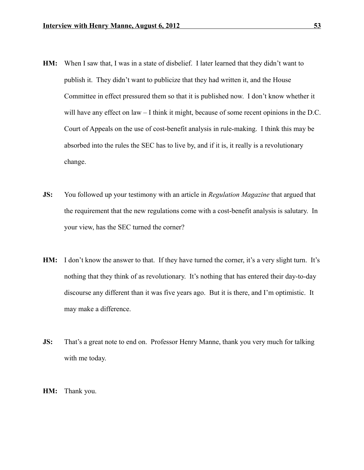- **HM:** When I saw that, I was in a state of disbelief. I later learned that they didn't want to publish it. They didn't want to publicize that they had written it, and the House Committee in effect pressured them so that it is published now. I don't know whether it will have any effect on law – I think it might, because of some recent opinions in the D.C. Court of Appeals on the use of cost-benefit analysis in rule-making. I think this may be absorbed into the rules the SEC has to live by, and if it is, it really is a revolutionary change.
- **JS:** You followed up your testimony with an article in *Regulation Magazine* that argued that the requirement that the new regulations come with a cost-benefit analysis is salutary. In your view, has the SEC turned the corner?
- **HM:** I don't know the answer to that. If they have turned the corner, it's a very slight turn. It's nothing that they think of as revolutionary. It's nothing that has entered their day-to-day discourse any different than it was five years ago. But it is there, and I'm optimistic. It may make a difference.
- **JS:** That's a great note to end on. Professor Henry Manne, thank you very much for talking with me today.
- **HM:** Thank you.